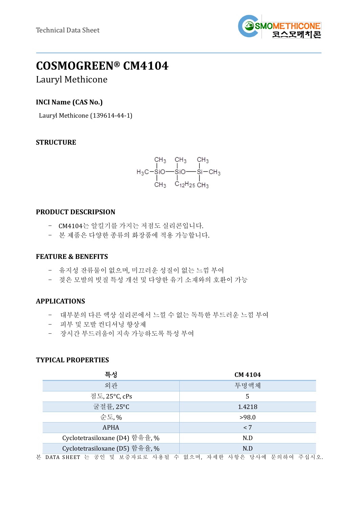

# **COSMOGREEN® CM4104**

# Lauryl Methicone

# **INCI Name (CAS No.)**

Lauryl Methicone (139614-44-1)

## **STRUCTURE**

$$
\begin{array}{cccc}\n & CH_3 & CH_3 & CH_3 \\
 & | & | & | \\
H_3C-SIO \quad -SiO \quad -Si - CH_3 \\
 & | & | & | \\
CH_3 & C_{12}H_{25} \, CH_3\n\end{array}
$$

#### **PRODUCT DESCRIPSION**

- CM4104는 알킬기를 가지는 저점도 실리콘입니다.
- 본 제품은 다양한 종류의 화장품에 적용 가능합니다.

#### **FEATURE & BENEFITS**

- 유지성 잔류물이 없으며, 미끄러운 성질이 없는 느낌 부여
- 젖은 모발의 빗질 특성 개선 및 다양한 유기 소재와의 호환이 가능

## **APPLICATIONS**

- 대부분의 다른 액상 실리콘에서 느낄 수 없는 독특한 부드러운 느낌 부여
- 피부 및 모발 컨디셔닝 향상제
- 장시간 부드러움이 지속 가능하도록 특성 부여

## **TYPICAL PROPERTIES**

| 특성                             | <b>CM 4104</b> |  |
|--------------------------------|----------------|--|
| 외관                             | 투명액체           |  |
| 점도, 25°C, cPs                  | 5              |  |
| 굴절률, 25°C                      | 1.4218         |  |
| 순도, %                          | >98.0          |  |
| <b>APHA</b>                    | < 7            |  |
| Cyclotetrasiloxane (D4) 함유율, % | N.D            |  |
| Cyclotetrasiloxane (D5) 함유율, % | N.D            |  |
|                                |                |  |

본 DATA SHEET 는 공인 및 보증자료로 사용될 수 없으며, 자세한 사항은 당사에 문의하여 주십시오.